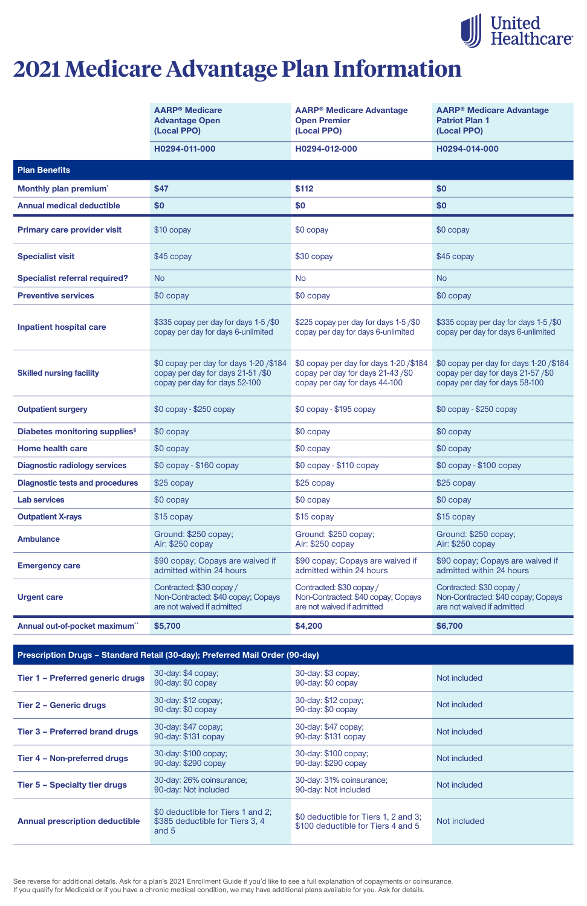See reverse for additional details. Ask for a plan's 2021 Enrollment Guide if you'd like to see a full explanation of copayments or coinsurance. If you qualify for Medicaid or if you have a chronic medical condition, we may have additional plans available for you. Ask for details.

|                                                  | <b>AARP<sup>®</sup></b> Medicare<br><b>Advantage Open</b><br>(Local PPO)                                     | <b>AARP® Medicare Advantage</b><br><b>Open Premier</b><br>(Local PPO)                                      | <b>AARP<sup>®</sup> Medicare Advantage</b><br><b>Patriot Plan 1</b><br>(Local PPO)                           |
|--------------------------------------------------|--------------------------------------------------------------------------------------------------------------|------------------------------------------------------------------------------------------------------------|--------------------------------------------------------------------------------------------------------------|
|                                                  | H0294-011-000                                                                                                | H0294-012-000                                                                                              | H0294-014-000                                                                                                |
| <b>Plan Benefits</b>                             |                                                                                                              |                                                                                                            |                                                                                                              |
| Monthly plan premium <sup>*</sup>                | \$47                                                                                                         | \$112                                                                                                      | \$0                                                                                                          |
| <b>Annual medical deductible</b>                 | \$0                                                                                                          | \$0                                                                                                        | \$0                                                                                                          |
| <b>Primary care provider visit</b>               | \$10 copay                                                                                                   | \$0 copay                                                                                                  | \$0 copay                                                                                                    |
| <b>Specialist visit</b>                          | \$45 copay                                                                                                   | \$30 copay                                                                                                 | \$45 copay                                                                                                   |
| <b>Specialist referral required?</b>             | <b>No</b>                                                                                                    | <b>No</b>                                                                                                  | <b>No</b>                                                                                                    |
| <b>Preventive services</b>                       | \$0 copay                                                                                                    | \$0 copay                                                                                                  | \$0 copay                                                                                                    |
| <b>Inpatient hospital care</b>                   | \$335 copay per day for days 1-5/\$0<br>copay per day for days 6-unlimited                                   | \$225 copay per day for days 1-5/\$0<br>copay per day for days 6-unlimited                                 | \$335 copay per day for days 1-5/\$0<br>copay per day for days 6-unlimited                                   |
| <b>Skilled nursing facility</b>                  | \$0 copay per day for days 1-20 / \$184<br>copay per day for days 21-51/\$0<br>copay per day for days 52-100 | \$0 copay per day for days 1-20/\$184<br>copay per day for days 21-43/\$0<br>copay per day for days 44-100 | \$0 copay per day for days 1-20 / \$184<br>copay per day for days 21-57/\$0<br>copay per day for days 58-100 |
| <b>Outpatient surgery</b>                        | \$0 copay - \$250 copay                                                                                      | \$0 copay - \$195 copay                                                                                    | $$0$ copay - $$250$ copay                                                                                    |
| <b>Diabetes monitoring supplies</b> <sup>§</sup> | \$0 copay                                                                                                    | \$0 copay                                                                                                  | \$0 copay                                                                                                    |
| <b>Home health care</b>                          | \$0 copay                                                                                                    | $$0$ copay                                                                                                 | $$0$ copay                                                                                                   |
| <b>Diagnostic radiology services</b>             | \$0 copay - \$160 copay                                                                                      | $$0$ copay - $$110$ copay                                                                                  | $$0$ copay - $$100$ copay                                                                                    |
| <b>Diagnostic tests and procedures</b>           | \$25 copay                                                                                                   | \$25 copay                                                                                                 | \$25 copay                                                                                                   |
| <b>Lab services</b>                              | \$0 copay                                                                                                    | $$0$ copay                                                                                                 | \$0 copay                                                                                                    |
| <b>Outpatient X-rays</b>                         | \$15 copay                                                                                                   | \$15 copay                                                                                                 | \$15 copay                                                                                                   |
| <b>Ambulance</b>                                 | Ground: \$250 copay;<br>Air: \$250 copay                                                                     | Ground: \$250 copay;<br>Air: \$250 copay                                                                   | Ground: \$250 copay;<br>Air: \$250 copay                                                                     |
| <b>Emergency care</b>                            | \$90 copay; Copays are waived if<br>admitted within 24 hours                                                 | \$90 copay; Copays are waived if<br>admitted within 24 hours                                               | \$90 copay; Copays are waived if<br>admitted within 24 hours                                                 |
| <b>Urgent care</b>                               | Contracted: \$30 copay /<br>Non-Contracted: \$40 copay; Copays<br>are not waived if admitted                 | Contracted: \$30 copay /<br>Non-Contracted: \$40 copay; Copays<br>are not waived if admitted               | Contracted: \$30 copay /<br>Non-Contracted: \$40 copay; Copays<br>are not waived if admitted                 |
| Annual out-of-pocket maximum**                   | \$5,700                                                                                                      | \$4,200                                                                                                    | \$6,700                                                                                                      |

| Tier 1 - Preferred generic drugs      | 30-day: \$4 copay;<br>90-day: \$0 copay                                       | 30-day: \$3 copay;<br>90-day: \$0 copay                                    | Not included |
|---------------------------------------|-------------------------------------------------------------------------------|----------------------------------------------------------------------------|--------------|
| <b>Tier 2 - Generic drugs</b>         | 30-day: \$12 copay;<br>90-day: \$0 copay                                      | 30-day: \$12 copay;<br>90-day: \$0 copay                                   | Not included |
| <b>Tier 3 - Preferred brand drugs</b> | 30-day: \$47 copay;<br>90-day: \$131 copay                                    | 30-day: \$47 copay;<br>90-day: \$131 copay                                 | Not included |
| Tier 4 - Non-preferred drugs          | 30-day: \$100 copay;<br>90-day: \$290 copay                                   | 30-day: \$100 copay;<br>90-day: \$290 copay                                | Not included |
| <b>Tier 5 - Specialty tier drugs</b>  | 30-day: 26% coinsurance;<br>90-day: Not included                              | 30-day: 31% coinsurance;<br>90-day: Not included                           | Not included |
| <b>Annual prescription deductible</b> | \$0 deductible for Tiers 1 and 2;<br>\$385 deductible for Tiers 3, 4<br>and 5 | \$0 deductible for Tiers 1, 2 and 3;<br>\$100 deductible for Tiers 4 and 5 | Not included |



# **2021 Medicare Advantage Plan Information**